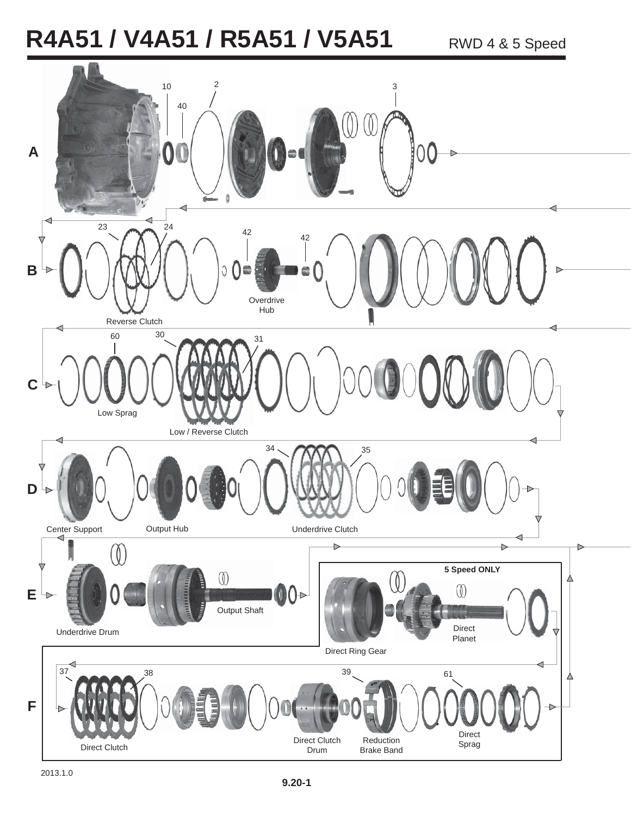## R4A51 / V4A51 / R5A51 / V5A51 RWD 4 & 5 Speed

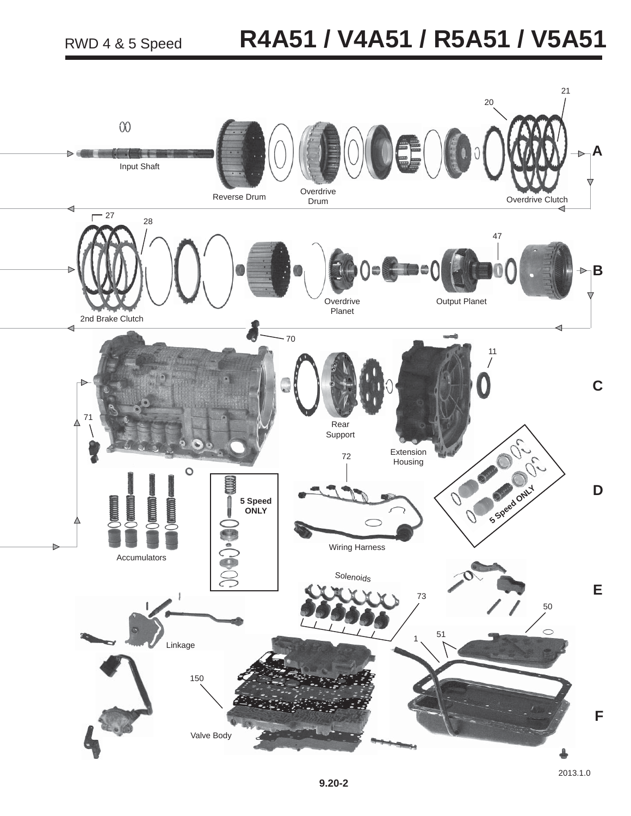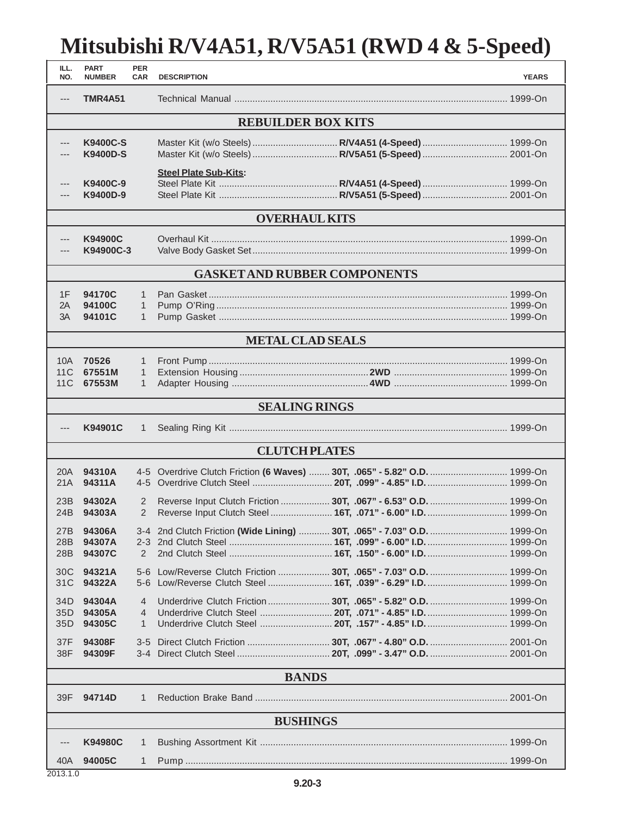## **Mitsubishi R/V4A51, R/V5A51 (RWD 4 & 5-Speed)**

| ILL.<br>NO.                         | <b>PART</b><br><b>NUMBER</b>       | <b>PER</b><br><b>CAR</b>                     | <b>DESCRIPTION</b>           |                                                                                                            | <b>YEARS</b> |  |  |  |  |
|-------------------------------------|------------------------------------|----------------------------------------------|------------------------------|------------------------------------------------------------------------------------------------------------|--------------|--|--|--|--|
| $---$                               | <b>TMR4A51</b>                     |                                              |                              |                                                                                                            |              |  |  |  |  |
| <b>REBUILDER BOX KITS</b>           |                                    |                                              |                              |                                                                                                            |              |  |  |  |  |
|                                     | <b>K9400C-S</b><br><b>K9400D-S</b> |                                              |                              | Master Kit (w/o Steels)  R/V4A51 (4-Speed)  1999-On<br>Master Kit (w/o Steels)  R/V5A51 (5-Speed)  2001-On |              |  |  |  |  |
| ---<br>---                          | K9400C-9<br>K9400D-9               |                                              | <b>Steel Plate Sub-Kits:</b> |                                                                                                            |              |  |  |  |  |
| <b>OVERHAUL KITS</b>                |                                    |                                              |                              |                                                                                                            |              |  |  |  |  |
| ---                                 | K94900C<br>K94900C-3               |                                              |                              |                                                                                                            |              |  |  |  |  |
| <b>GASKET AND RUBBER COMPONENTS</b> |                                    |                                              |                              |                                                                                                            |              |  |  |  |  |
| 1F<br>2A<br>3A                      | 94170C<br>94100C<br>94101C         | $\mathbf{1}$<br>$\mathbf{1}$<br>$\mathbf{1}$ |                              |                                                                                                            |              |  |  |  |  |
|                                     |                                    |                                              |                              | <b>METAL CLAD SEALS</b>                                                                                    |              |  |  |  |  |
| 10A<br>11C<br>11C                   | 70526<br>67551M<br>67553M          | $\mathbf{1}$<br>$\mathbf{1}$<br>$\mathbf{1}$ |                              |                                                                                                            |              |  |  |  |  |
|                                     |                                    |                                              |                              | <b>SEALING RINGS</b>                                                                                       |              |  |  |  |  |
| ---                                 | K94901C                            | $\mathbf{1}$                                 |                              |                                                                                                            |              |  |  |  |  |
| <b>CLUTCH PLATES</b>                |                                    |                                              |                              |                                                                                                            |              |  |  |  |  |
| 20A<br>21A                          | 94310A<br>94311A                   |                                              |                              | 4-5 Overdrive Clutch Friction (6 Waves)  30T, .065" - 5.82" O.D.  1999-On                                  |              |  |  |  |  |
| 23B<br>24B                          | 94302A<br>94303A                   | 2<br>$\overline{2}$                          |                              |                                                                                                            |              |  |  |  |  |
| 27B<br>28B<br>28B                   | 94306A<br>94307A<br>94307C         | 2                                            |                              | 3-4 2nd Clutch Friction (Wide Lining)  30T, .065" - 7.03" O.D.  1999-On                                    |              |  |  |  |  |
| 30C<br>31C                          | 94321A<br>94322A                   | $5 - 6$<br>$5 - 6$                           |                              | Low/Reverse Clutch Friction  30T, .065" - 7.03" O.D.  1999-On                                              |              |  |  |  |  |
| 34D<br>35D<br>35D                   | 94304A<br>94305A<br>94305C         | 4<br>4<br>1                                  |                              |                                                                                                            |              |  |  |  |  |
| 37F<br>38F                          | 94308F<br>94309F                   | $3-5$                                        |                              |                                                                                                            |              |  |  |  |  |
|                                     | <b>BANDS</b>                       |                                              |                              |                                                                                                            |              |  |  |  |  |
| 39F                                 | 94714D                             | 1                                            |                              |                                                                                                            |              |  |  |  |  |
| <b>BUSHINGS</b>                     |                                    |                                              |                              |                                                                                                            |              |  |  |  |  |
|                                     | <b>K94980C</b>                     | 1                                            |                              |                                                                                                            |              |  |  |  |  |
| 40A<br>201310                       | 94005C                             | 1                                            |                              |                                                                                                            |              |  |  |  |  |

2013.1.0